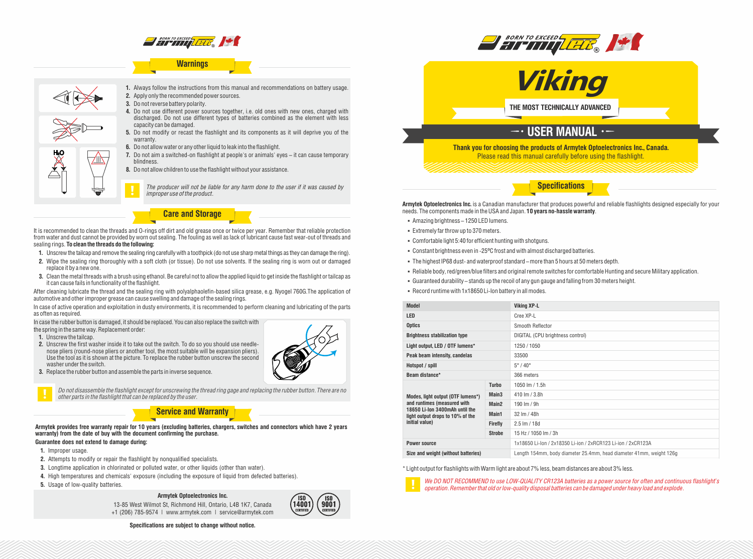

## **Warnings**



**1.** Always follow the instructions from this manual and recommendations on battery usage. **2.** Apply only the recommended power sources.

- **3.** Do not reverse battery polarity.
- **4.** Do not use different power sources together, i.e. old ones with new ones, charged with discharged. Do not use different types of batteries combined as the element with less capacity can be damaged.
- **5.** Do not modify or recast the flashlight and its components as it will deprive you of the warranty.
- **6.** Do not allow water or any other liquid to leak into the flashlight.
- **7.** Do not aim a switched-on flashlight at people's or animals' eyes it can cause temporary blindness.
- **8.** Do not allow children to use the flashlight without your assistance.

*The producer will not be liable for any harm done to the user if it was caused by improper use of the product.*

**Care and Storage**

It is recommended to clean the threads and O-rings off dirt and old grease once or twice per year. Remember that reliable protection from water and dust cannot be provided by worn out sealing. The fouling as well as lack of lubricant cause fast wear-out of threads and sealing rings. **To clean the threads do the following:**

- **1.** Unscrew the tailcap and remove the sealing ring carefully with a toothpick (do not use sharp metal things as they can damage the ring).
- **2.** Wipe the sealing ring thoroughly with a soft cloth (or tissue). Do not use solvents. If the sealing ring is worn out or damaged replace it by a new one.
- **3.** Clean the metal threads with a brush using ethanol. Be careful not to allow the applied liquid to get inside the flashlight or tailcap as it can cause fails in functionality of the flashlight.

After cleaning lubricate the thread and the sealing ring with polyalphaolefin-based silica grease, e.g. Nyogel 760G.The application of automotive and other improper grease can cause swelling and damage of the sealing rings.

In case of active operation and exploitation in dusty environments, it is recommended to perform cleaning and lubricating of the parts as often as required.

In case the rubber button is damaged, it should be replaced. You can also replace the switch with

the spring in the same way. Replacement order:

- **1.** Unscrew the tailcap.
- **2.** Unscrew the first washer inside it to take out the switch. To do so you should use needlenose pliers (round-nose pliers or another tool, the most suitable will be expansion pliers). Use the tool as it is shown at the picture. To replace the rubber button unscrew the second washer under the switch.
- **3.** Replace the rubber button and assemble the parts in inverse sequence.



*Do not disassemble the flashlight except for unscrewing the thread ring gage and replacing the rubber button. There are no other parts in the flashlight that can be replaced by the user.*

## **Service and Warranty**

**Armytek provides free warranty repair for 10 years (excluding batteries, chargers, switches and connectors which have 2 years warranty) from the date of buy with the document confirming the purchase.**

# **Guarantee does not extend to damage during:**

- **1.** Improper usage.
- **2.** Attempts to modify or repair the flashlight by nonqualified specialists.
- **3.** Longtime application in chlorinated or polluted water, or other liquids (other than water).
- **4.** High temperatures and chemicals' exposure (including the exposure of liquid from defected batteries).
- **5.** Usage of low-quality batteries.

### **Armytek Optoelectronics Inc.**

13-85 West Wilmot St, Richmond Hill, Ontario, L4B 1K7, Canada +1 (206) 785-9574 | www.armytek.com | service@armytek.com



**BORN TO EXCEED THE REAL PROPERTY OF THE REAL PROPERTY OF THE REAL PROPERTY OF THE REAL PROPERTY OF THE REAL PROPERTY** 



**THE MOST TECHNICALLY ADVANCED**

# $\overline{\phantom{a}}$  USER MANUAL  $\cdot$  –

**Thank you for choosing the products of Armytek Optoelectronics Inc., Canada.** Please read this manual carefully before using the flashlight.

**Specifications**

**Armytek Optoelectronics Inc.** is a Canadian manufacturer that produces powerful and reliable flashlights designed especially for your needs. The components made in the USA and Japan. **10 years no-hassle warranty**.

- § Amazing brightness 1250 LED lumens.
- § Extremely far throw up to 370meters.
- § Comfortable light 5:40 for efficient hunting with shotguns.
- § Constant brightness even in -25ºC frost and with almost discharged batteries.
- The highest IP68 dust- and waterproof standard more than 5 hours at 50 meters depth.
- § Reliable body, red/green/blue filters and original remote switches for comfortable Hunting and secure Military application.
- § Guaranteed durability stands up the recoil of any gun gauge and falling from 30 meters height.

§ Record runtime with 1x18650 Li-Ion battery in all modes.

| <b>Model</b>                                                                                                                                             |                   | <b>Viking XP-L</b>                                                  |
|----------------------------------------------------------------------------------------------------------------------------------------------------------|-------------------|---------------------------------------------------------------------|
| <b>LED</b>                                                                                                                                               |                   | Cree XP-L                                                           |
| <b>Optics</b>                                                                                                                                            |                   | Smooth Reflector                                                    |
| <b>Brightness stabilization type</b>                                                                                                                     |                   | DIGITAL (CPU brightness control)                                    |
| Light output, LED / OTF lumens*                                                                                                                          |                   | 1250 / 1050                                                         |
| Peak beam intensity, candelas                                                                                                                            |                   | 33500                                                               |
| Hotspot / spill                                                                                                                                          |                   | $5^\circ/40^\circ$                                                  |
| Beam distance*                                                                                                                                           |                   | 366 meters                                                          |
| Modes, light output (OTF lumens*)<br>and runtimes (measured with<br>18650 Li-Ion 3400mAh until the<br>light output drops to 10% of the<br>initial value) | <b>Turbo</b>      | 1050 lm / 1.5h                                                      |
|                                                                                                                                                          | Main <sub>3</sub> | 410 lm / 3.8h                                                       |
|                                                                                                                                                          | Main <sub>2</sub> | 190 lm / 9h                                                         |
|                                                                                                                                                          | Main1             | 32 Im / 48h                                                         |
|                                                                                                                                                          | <b>Firefly</b>    | $2.5 \, \text{Im} / 18d$                                            |
|                                                                                                                                                          | <b>Strobe</b>     | 15 Hz / 1050 lm / 3h                                                |
| <b>Power source</b>                                                                                                                                      |                   | 1x18650 Li-lon / 2x18350 Li-ion / 2xRCR123 Li-ion / 2xCR123A        |
| Size and weight (without batteries)                                                                                                                      |                   | Length 154mm, body diameter 25.4mm, head diameter 41mm, weight 126g |

\* Light output for flashlights with Warm light are about 7% less, beam distances are about 3% less.



*We DO NOT RECOMMEND to use LOW-QUALITY CR123A batteries as a power source for often and continuous flashlight's operation. Remember that old or low-quality disposal batteries can be damaged under heavy load and explode.*

**Specifications are subject to change without notice.**